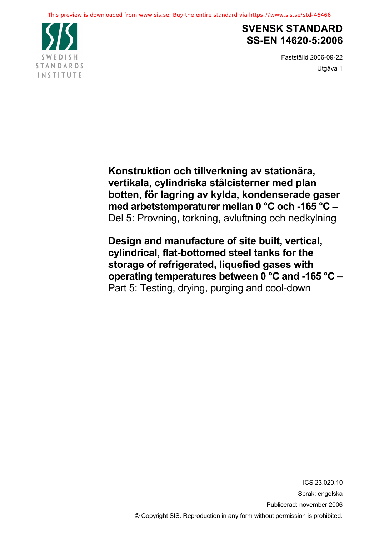

## **SVENSK STANDARD SS-EN 14620-5:2006**

Fastställd 2006-09-22 Utgåva 1

**Konstruktion och tillverkning av stationära, vertikala, cylindriska stålcisterner med plan botten, för lagring av kylda, kondenserade gaser med arbetstemperaturer mellan 0 °C och -165 °C –**  Del 5: Provning, torkning, avluftning och nedkylning

**Design and manufacture of site built, vertical, cylindrical, flat-bottomed steel tanks for the storage of refrigerated, liquefied gases with operating temperatures between 0 °C and -165 °C –**  Part 5: Testing, drying, purging and cool-down

> ICS 23.020.10 Språk: engelska Publicerad: november 2006 © Copyright SIS. Reproduction in any form without permission is prohibited.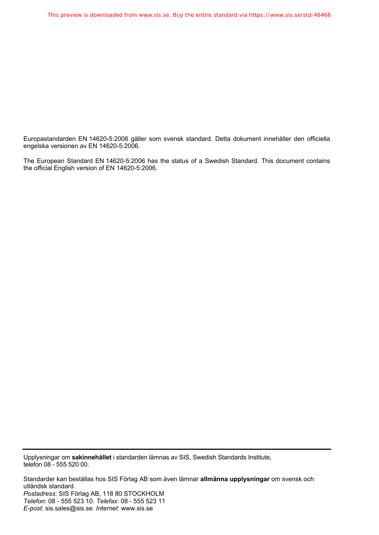Europastandarden EN 14620-5:2006 gäller som svensk standard. Detta dokument innehåller den officiella engelska versionen av EN 14620-5:2006.

The European Standard EN 14620-5:2006 has the status of a Swedish Standard. This document contains the official English version of EN 14620-5:2006.

Upplysningar om **sakinnehållet** i standarden lämnas av SIS, Swedish Standards Institute, telefon 08 - 555 520 00.

Standarder kan beställas hos SIS Förlag AB som även lämnar **allmänna upplysningar** om svensk och utländsk standard. *Postadress*: SIS Förlag AB, 118 80 STOCKHOLM *Telefon*: 08 - 555 523 10. *Telefax*: 08 - 555 523 11 *E-post*: sis.sales@sis.se. *Internet*: www.sis.se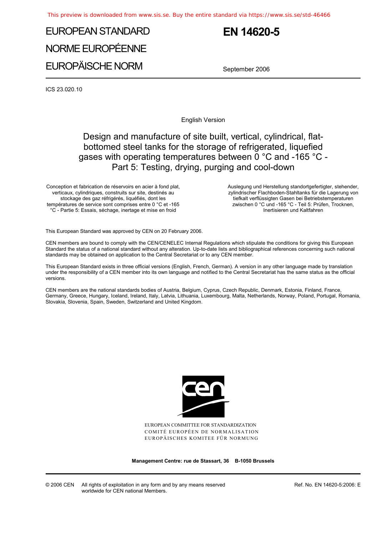# EUROPEAN STANDARD NORME EUROPÉENNE EUROPÄISCHE NORM

## **EN 14620-5**

September 2006

ICS 23.020.10

English Version

### Design and manufacture of site built, vertical, cylindrical, flatbottomed steel tanks for the storage of refrigerated, liquefied gases with operating temperatures between 0 °C and -165 °C - Part 5: Testing, drying, purging and cool-down

Conception et fabrication de réservoirs en acier à fond plat, verticaux, cylindriques, construits sur site, destinés au stockage des gaz réfrigérés, liquéfiés, dont les températures de service sont comprises entre 0 °C et -165 °C - Partie 5: Essais, séchage, inertage et mise en froid

 Auslegung und Herstellung standortgefertigter, stehender, zylindrischer Flachboden-Stahltanks für die Lagerung von tiefkalt verflüssigten Gasen bei Betriebstemperaturen zwischen 0 °C und -165 °C - Teil 5: Prüfen, Trocknen, Inertisieren und Kaltfahren

This European Standard was approved by CEN on 20 February 2006.

CEN members are bound to comply with the CEN/CENELEC Internal Regulations which stipulate the conditions for giving this European Standard the status of a national standard without any alteration. Up-to-date lists and bibliographical references concerning such national standards may be obtained on application to the Central Secretariat or to any CEN member.

This European Standard exists in three official versions (English, French, German). A version in any other language made by translation under the responsibility of a CEN member into its own language and notified to the Central Secretariat has the same status as the official versions.

CEN members are the national standards bodies of Austria, Belgium, Cyprus, Czech Republic, Denmark, Estonia, Finland, France, Germany, Greece, Hungary, Iceland, Ireland, Italy, Latvia, Lithuania, Luxembourg, Malta, Netherlands, Norway, Poland, Portugal, Romania, Slovakia, Slovenia, Spain, Sweden, Switzerland and United Kingdom.



EUROPEAN COMMITTEE FOR STANDARDIZATION COMITÉ EUROPÉEN DE NORMALISATION EUROPÄISCHES KOMITEE FÜR NORMUNG

**Management Centre: rue de Stassart, 36 B-1050 Brussels** 

Ref. No. EN 14620-5:2006: E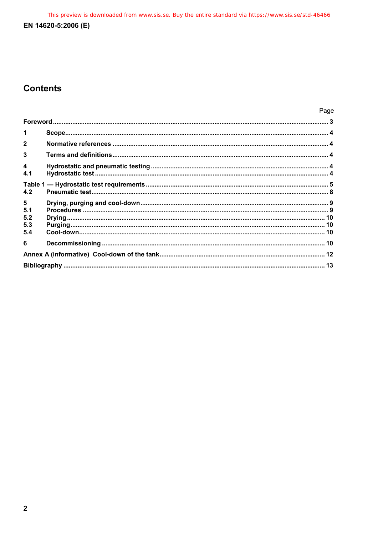This preview is downloaded from www.sis.se. Buy the entire standard via https://www.sis.se/std-46466 EN 14620-5:2006 (E)

### **Contents**

|                                |  | Page |  |  |  |
|--------------------------------|--|------|--|--|--|
|                                |  |      |  |  |  |
| 1                              |  |      |  |  |  |
|                                |  |      |  |  |  |
| 3                              |  |      |  |  |  |
| $\overline{\mathbf{4}}$<br>4.1 |  |      |  |  |  |
| 4.2                            |  |      |  |  |  |
| 5<br>5.1<br>5.2<br>5.3<br>5.4  |  |      |  |  |  |
| 6                              |  |      |  |  |  |
|                                |  |      |  |  |  |
|                                |  |      |  |  |  |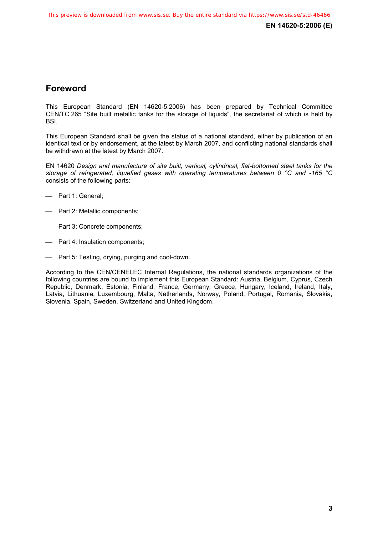### **Foreword**

This European Standard (EN 14620-5:2006) has been prepared by Technical Committee CEN/TC 265 "Site built metallic tanks for the storage of liquids", the secretariat of which is held by BSI.

This European Standard shall be given the status of a national standard, either by publication of an identical text or by endorsement, at the latest by March 2007, and conflicting national standards shall be withdrawn at the latest by March 2007.

EN 14620 *Design and manufacture of site built, vertical, cylindrical, flat-bottomed steel tanks for the storage of refrigerated, liquefied gases with operating temperatures between 0 °C and -165 °C* consists of the following parts:

- Part 1: General;
- Part 2: Metallic components;
- Part 3: Concrete components;
- Part 4: Insulation components;
- Part 5: Testing, drying, purging and cool-down.

According to the CEN/CENELEC Internal Regulations, the national standards organizations of the following countries are bound to implement this European Standard: Austria, Belgium, Cyprus, Czech Republic, Denmark, Estonia, Finland, France, Germany, Greece, Hungary, Iceland, Ireland, Italy, Latvia, Lithuania, Luxembourg, Malta, Netherlands, Norway, Poland, Portugal, Romania, Slovakia, Slovenia, Spain, Sweden, Switzerland and United Kingdom.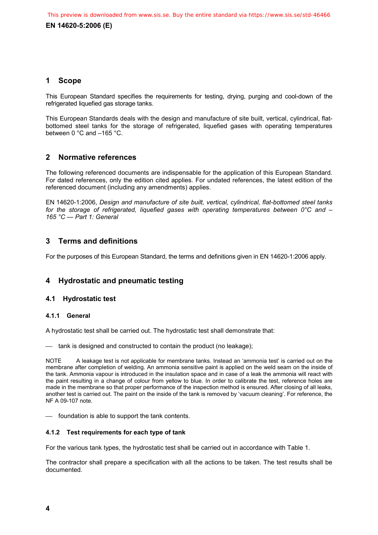**EN 14620-5:2006 (E)** 

#### **1 Scope**

This European Standard specifies the requirements for testing, drying, purging and cool-down of the refrigerated liquefied gas storage tanks.

This European Standards deals with the design and manufacture of site built, vertical, cylindrical, flatbottomed steel tanks for the storage of refrigerated, liquefied gases with operating temperatures between 0 °C and –165 °C.

#### **2 Normative references**

The following referenced documents are indispensable for the application of this European Standard. For dated references, only the edition cited applies. For undated references, the latest edition of the referenced document (including any amendments) applies.

EN 14620-1:2006, *Design and manufacture of site built, vertical, cylindrical, flat-bottomed steel tanks for the storage of refrigerated, liquefied gases with operating temperatures between 0°C and – 165 °C — Part 1: General* 

#### **3 Terms and definitions**

For the purposes of this European Standard, the terms and definitions given in EN 14620-1:2006 apply.

#### **4 Hydrostatic and pneumatic testing**

#### **4.1 Hydrostatic test**

#### **4.1.1 General**

A hydrostatic test shall be carried out. The hydrostatic test shall demonstrate that:

tank is designed and constructed to contain the product (no leakage);

NOTE A leakage test is not applicable for membrane tanks. Instead an 'ammonia test' is carried out on the membrane after completion of welding. An ammonia sensitive paint is applied on the weld seam on the inside of the tank. Ammonia vapour is introduced in the insulation space and in case of a leak the ammonia will react with the paint resulting in a change of colour from yellow to blue. In order to calibrate the test, reference holes are made in the membrane so that proper performance of the inspection method is ensured. After closing of all leaks, another test is carried out. The paint on the inside of the tank is removed by 'vacuum cleaning'. For reference, the NF A 09-107 note.

 $\equiv$  foundation is able to support the tank contents.

#### **4.1.2 Test requirements for each type of tank**

For the various tank types, the hydrostatic test shall be carried out in accordance with Table 1.

The contractor shall prepare a specification with all the actions to be taken. The test results shall be documented.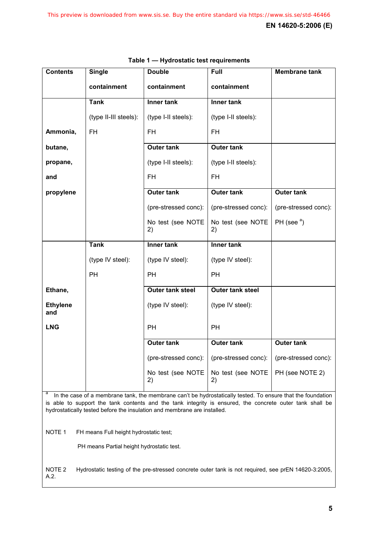| <b>Contents</b>        | <b>Single</b>         | <b>Double</b>           | Full                    | <b>Membrane tank</b> |
|------------------------|-----------------------|-------------------------|-------------------------|----------------------|
|                        | containment           | containment             | containment             |                      |
|                        | <b>Tank</b>           | Inner tank              | <b>Inner tank</b>       |                      |
|                        | (type II-III steels): | (type I-II steels):     | (type I-II steels):     |                      |
| Ammonia,               | <b>FH</b>             | <b>FH</b>               | <b>FH</b>               |                      |
| butane,                |                       | <b>Outer tank</b>       | <b>Outer tank</b>       |                      |
| propane,               |                       | (type I-II steels):     | (type I-II steels):     |                      |
| and                    |                       | <b>FH</b>               | <b>FH</b>               |                      |
| propylene              |                       | <b>Outer tank</b>       | <b>Outer tank</b>       | <b>Outer tank</b>    |
|                        |                       | (pre-stressed conc):    | (pre-stressed conc):    | (pre-stressed conc): |
|                        |                       | No test (see NOTE<br>2) | No test (see NOTE<br>2) | PH (see $a$ )        |
|                        | <b>Tank</b>           | Inner tank              | Inner tank              |                      |
|                        | (type IV steel):      | (type IV steel):        | (type IV steel):        |                      |
|                        | PH                    | <b>PH</b>               | <b>PH</b>               |                      |
| Ethane,                |                       | <b>Outer tank steel</b> | <b>Outer tank steel</b> |                      |
| <b>Ethylene</b><br>and |                       | (type IV steel):        | (type IV steel):        |                      |
| <b>LNG</b>             |                       | PH                      | PH                      |                      |
|                        |                       | <b>Outer tank</b>       | <b>Outer tank</b>       | <b>Outer tank</b>    |
|                        |                       | (pre-stressed conc):    | (pre-stressed conc):    | (pre-stressed conc): |
|                        |                       | No test (see NOTE<br>2) | No test (see NOTE<br>2) | PH (see NOTE 2)      |

|  |  | Table 1 - Hydrostatic test requirements |
|--|--|-----------------------------------------|
|  |  |                                         |

<sup>a</sup> In the case of a membrane tank, the membrane can't be hydrostatically tested. To ensure that the foundation is able to support the tank contents and the tank integrity is ensured, the concrete outer tank shall be hydrostatically tested before the insulation and membrane are installed.

NOTE 1 FH means Full height hydrostatic test;

PH means Partial height hydrostatic test.

NOTE 2 Hydrostatic testing of the pre-stressed concrete outer tank is not required, see prEN 14620-3:2005, A.2.